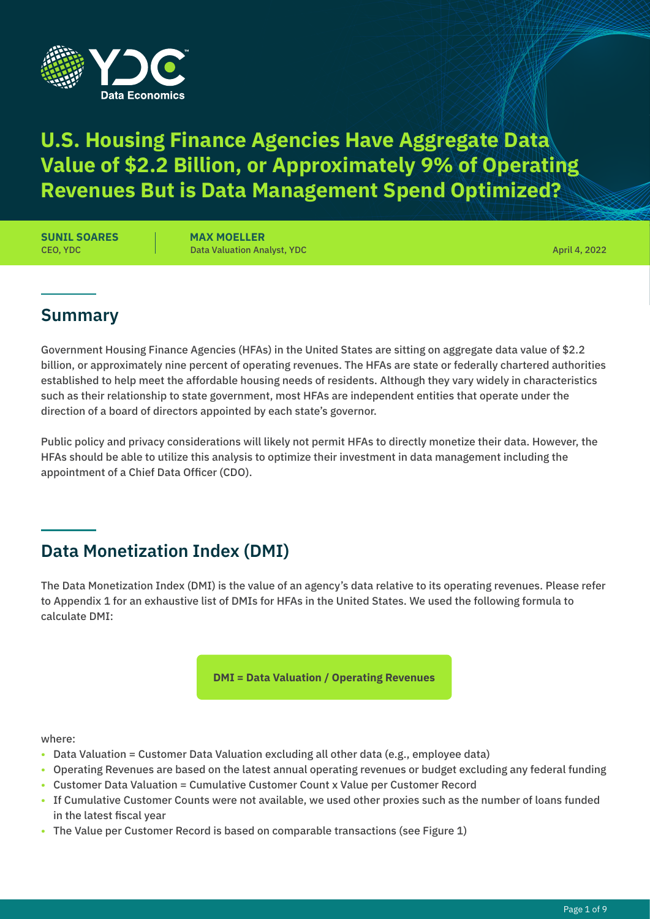

# **U.S. Housing Finance Agencies Have Aggregate Data Value of \$2.2 Billion, or Approximately 9% of Operating Revenues But is Data Management Spend Optimized?**

CEO, YDC **SUNIL SOARES**

Data Valuation Analyst, YDC **MAX MOELLER**

April 4, 2022

#### **Summary**

Government Housing Finance Agencies (HFAs) in the United States are sitting on aggregate data value of \$2.2 billion, or approximately nine percent of operating revenues. The HFAs are state or federally chartered authorities established to help meet the affordable housing needs of residents. Although they vary widely in characteristics such as their relationship to state government, most HFAs are independent entities that operate under the direction of a board of directors appointed by each state's governor.

Public policy and privacy considerations will likely not permit HFAs to directly monetize their data. However, the HFAs should be able to utilize this analysis to optimize their investment in data management including the appointment of a Chief Data Officer (CDO).

## **Data Monetization Index (DMI)**

The Data Monetization Index (DMI) is the value of an agency's data relative to its operating revenues. Please refer to Appendix 1 for an exhaustive list of DMIs for HFAs in the United States. We used the following formula to calculate DMI:

**DMI = Data Valuation / Operating Revenues** 

#### where:

- Data Valuation = Customer Data Valuation excluding all other data (e.g., employee data)
- Operating Revenues are based on the latest annual operating revenues or budget excluding any federal funding
- Customer Data Valuation = Cumulative Customer Count x Value per Customer Record
- If Cumulative Customer Counts were not available, we used other proxies such as the number of loans funded in the latest fiscal year
- The Value per Customer Record is based on comparable transactions (see Figure 1)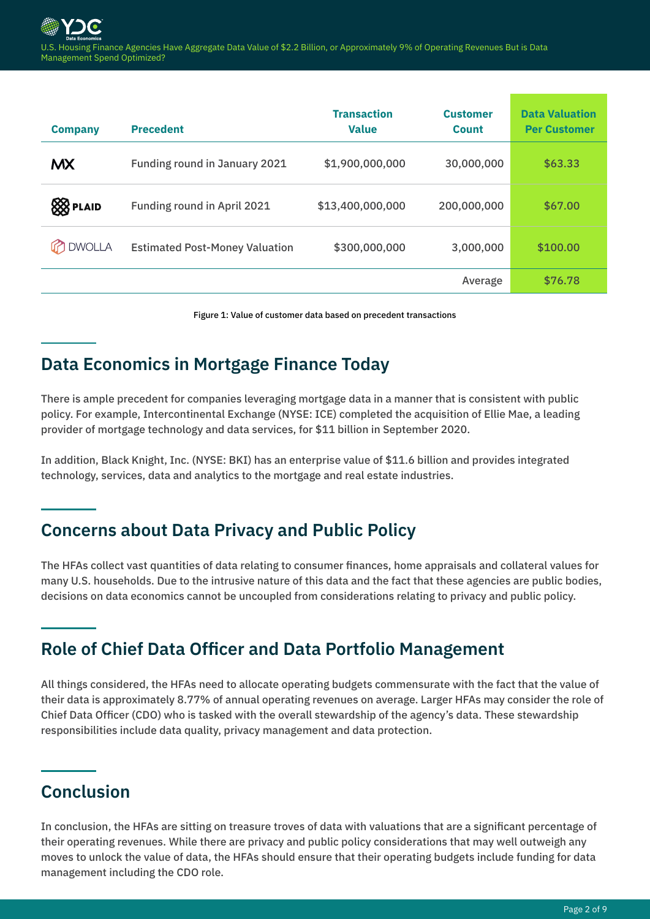| <b>Company</b>  | <b>Precedent</b>                      | <b>Transaction</b><br><b>Value</b> | <b>Customer</b><br><b>Count</b> | <b>Data Valuation</b><br><b>Per Customer</b> |
|-----------------|---------------------------------------|------------------------------------|---------------------------------|----------------------------------------------|
| <b>MX</b>       | <b>Funding round in January 2021</b>  | \$1,900,000,000                    | 30,000,000                      | \$63.33                                      |
| <b>88</b> PLAID | Funding round in April 2021           | \$13,400,000,000                   | 200,000,000                     | \$67.00                                      |
| <b>DWOLLA</b>   | <b>Estimated Post-Money Valuation</b> | \$300,000,000                      | 3,000,000                       | \$100.00                                     |
|                 |                                       |                                    | Average                         | \$76.78                                      |

Figure 1: Value of customer data based on precedent transactions

### **Data Economics in Mortgage Finance Today**

There is ample precedent for companies leveraging mortgage data in a manner that is consistent with public policy. For example, Intercontinental Exchange (NYSE: ICE) completed the acquisition of Ellie Mae, a leading provider of mortgage technology and data services, for \$11 billion in September 2020.

In addition, Black Knight, Inc. (NYSE: BKI) has an enterprise value of \$11.6 billion and provides integrated technology, services, data and analytics to the mortgage and real estate industries.

#### **Concerns about Data Privacy and Public Policy**

The HFAs collect vast quantities of data relating to consumer finances, home appraisals and collateral values for many U.S. households. Due to the intrusive nature of this data and the fact that these agencies are public bodies, decisions on data economics cannot be uncoupled from considerations relating to privacy and public policy.

#### **Role of Chief Data Officer and Data Portfolio Management**

All things considered, the HFAs need to allocate operating budgets commensurate with the fact that the value of their data is approximately 8.77% of annual operating revenues on average. Larger HFAs may consider the role of Chief Data Officer (CDO) who is tasked with the overall stewardship of the agency's data. These stewardship responsibilities include data quality, privacy management and data protection.

#### **Conclusion**

In conclusion, the HFAs are sitting on treasure troves of data with valuations that are a significant percentage of their operating revenues. While there are privacy and public policy considerations that may well outweigh any moves to unlock the value of data, the HFAs should ensure that their operating budgets include funding for data management including the CDO role.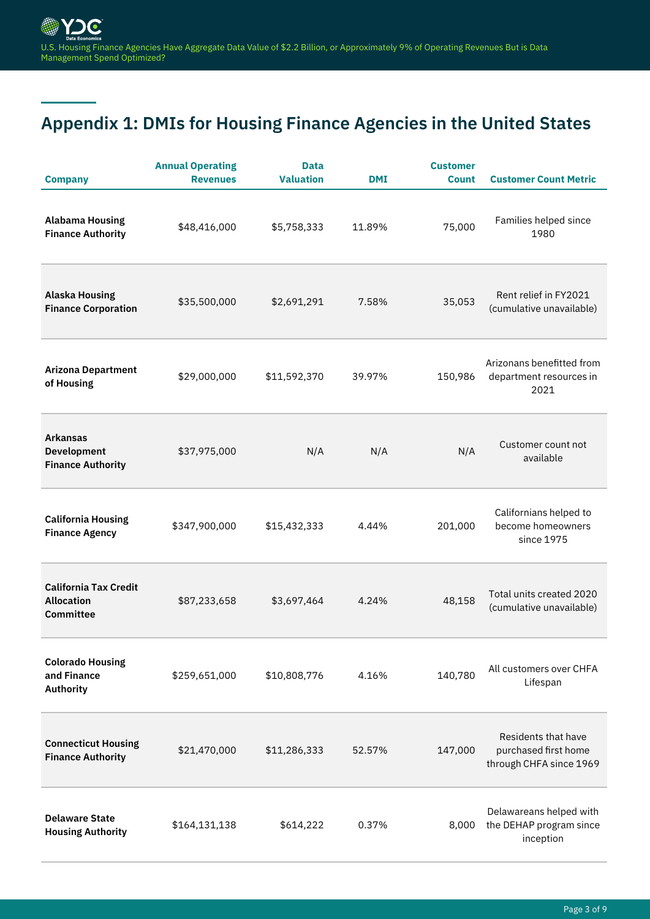# **Appendix 1: DMIs for Housing Finance Agencies in the United States**

| <b>Company</b>                                                        | <b>Annual Operating</b><br><b>Revenues</b> | <b>Data</b><br><b>Valuation</b> | <b>DMI</b> | <b>Customer</b><br><b>Count</b> | <b>Customer Count Metric</b>                                           |
|-----------------------------------------------------------------------|--------------------------------------------|---------------------------------|------------|---------------------------------|------------------------------------------------------------------------|
| <b>Alabama Housing</b><br><b>Finance Authority</b>                    | \$48,416,000                               | \$5,758,333                     | 11.89%     | 75,000                          | Families helped since<br>1980                                          |
| <b>Alaska Housing</b><br><b>Finance Corporation</b>                   | \$35,500,000                               | \$2,691,291                     | 7.58%      | 35,053                          | Rent relief in FY2021<br>(cumulative unavailable)                      |
| <b>Arizona Department</b><br>of Housing                               | \$29,000,000                               | \$11,592,370                    | 39.97%     | 150,986                         | Arizonans benefitted from<br>department resources in<br>2021           |
| <b>Arkansas</b><br><b>Development</b><br><b>Finance Authority</b>     | \$37,975,000                               | N/A                             | N/A        | N/A                             | Customer count not<br>available                                        |
| <b>California Housing</b><br><b>Finance Agency</b>                    | \$347,900,000                              | \$15,432,333                    | 4.44%      | 201,000                         | Californians helped to<br>become homeowners<br>since 1975              |
| <b>California Tax Credit</b><br><b>Allocation</b><br><b>Committee</b> | \$87,233,658                               | \$3,697,464                     | 4.24%      | 48,158                          | Total units created 2020<br>(cumulative unavailable)                   |
| <b>Colorado Housing</b><br>and Finance<br>Authority                   | \$259,651,000                              | \$10,808,776                    | 4.16%      | 140,780                         | All customers over CHFA<br>Lifespan                                    |
| <b>Connecticut Housing</b><br><b>Finance Authority</b>                | \$21,470,000                               | \$11,286,333                    | 52.57%     | 147,000                         | Residents that have<br>purchased first home<br>through CHFA since 1969 |
| <b>Delaware State</b><br><b>Housing Authority</b>                     | \$164,131,138                              | \$614,222                       | 0.37%      | 8,000                           | Delawareans helped with<br>the DEHAP program since<br>inception        |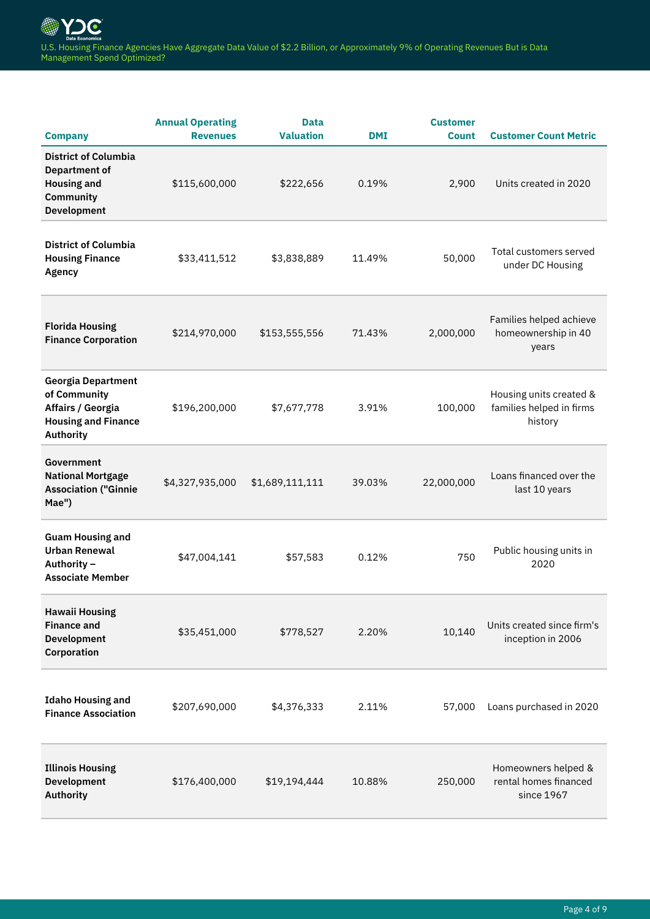| <b>Company</b>                                                                                            | <b>Annual Operating</b><br><b>Revenues</b> | <b>Data</b><br><b>Valuation</b> | <b>DMI</b> | <b>Customer</b><br><b>Count</b> | <b>Customer Count Metric</b>                                   |
|-----------------------------------------------------------------------------------------------------------|--------------------------------------------|---------------------------------|------------|---------------------------------|----------------------------------------------------------------|
| <b>District of Columbia</b><br><b>Department of</b><br><b>Housing and</b><br>Community<br>Development     | \$115,600,000                              | \$222,656                       | 0.19%      | 2,900                           | Units created in 2020                                          |
| <b>District of Columbia</b><br><b>Housing Finance</b><br>Agency                                           | \$33,411,512                               | \$3,838,889                     | 11.49%     | 50,000                          | Total customers served<br>under DC Housing                     |
| <b>Florida Housing</b><br><b>Finance Corporation</b>                                                      | \$214,970,000                              | \$153,555,556                   | 71.43%     | 2,000,000                       | Families helped achieve<br>homeownership in 40<br>years        |
| <b>Georgia Department</b><br>of Community<br>Affairs / Georgia<br><b>Housing and Finance</b><br>Authority | \$196,200,000                              | \$7,677,778                     | 3.91%      | 100,000                         | Housing units created &<br>families helped in firms<br>history |
| Government<br><b>National Mortgage</b><br><b>Association ("Ginnie</b><br>Mae")                            | \$4,327,935,000                            | \$1,689,111,111                 | 39.03%     | 22,000,000                      | Loans financed over the<br>last 10 years                       |
| <b>Guam Housing and</b><br><b>Urban Renewal</b><br>Authority -<br><b>Associate Member</b>                 | \$47,004,141                               | \$57,583                        | 0.12%      | 750                             | Public housing units in<br>2020                                |
| <b>Hawaii Housing</b><br><b>Finance and</b><br><b>Development</b><br>Corporation                          | \$35,451,000                               | \$778,527                       | 2.20%      | 10,140                          | Units created since firm's<br>inception in 2006                |
| <b>Idaho Housing and</b><br><b>Finance Association</b>                                                    | \$207,690,000                              | \$4,376,333                     | 2.11%      | 57,000                          | Loans purchased in 2020                                        |
| <b>Illinois Housing</b><br>Development<br>Authority                                                       | \$176,400,000                              | \$19,194,444                    | 10.88%     | 250,000                         | Homeowners helped &<br>rental homes financed<br>since 1967     |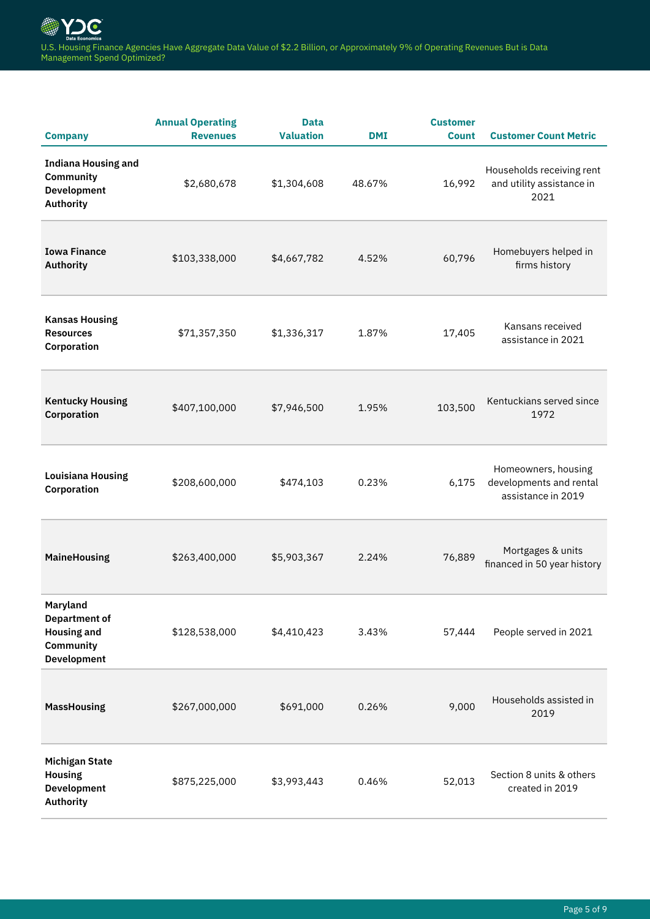| <b>Company</b>                                                                            | <b>Annual Operating</b><br><b>Revenues</b> | <b>Data</b><br><b>Valuation</b> | <b>DMI</b> | <b>Customer</b><br><b>Count</b> | <b>Customer Count Metric</b>                                         |
|-------------------------------------------------------------------------------------------|--------------------------------------------|---------------------------------|------------|---------------------------------|----------------------------------------------------------------------|
| <b>Indiana Housing and</b><br>Community<br><b>Development</b><br>Authority                | \$2,680,678                                | \$1,304,608                     | 48.67%     | 16,992                          | Households receiving rent<br>and utility assistance in<br>2021       |
| <b>Iowa Finance</b><br>Authority                                                          | \$103,338,000                              | \$4,667,782                     | 4.52%      | 60,796                          | Homebuyers helped in<br>firms history                                |
| <b>Kansas Housing</b><br><b>Resources</b><br>Corporation                                  | \$71,357,350                               | \$1,336,317                     | 1.87%      | 17,405                          | Kansans received<br>assistance in 2021                               |
| <b>Kentucky Housing</b><br>Corporation                                                    | \$407,100,000                              | \$7,946,500                     | 1.95%      | 103,500                         | Kentuckians served since<br>1972                                     |
| <b>Louisiana Housing</b><br>Corporation                                                   | \$208,600,000                              | \$474,103                       | 0.23%      | 6,175                           | Homeowners, housing<br>developments and rental<br>assistance in 2019 |
| <b>MaineHousing</b>                                                                       | \$263,400,000                              | \$5,903,367                     | 2.24%      | 76,889                          | Mortgages & units<br>financed in 50 year history                     |
| Maryland<br><b>Department of</b><br><b>Housing and</b><br>Community<br><b>Development</b> | \$128,538,000                              | \$4,410,423                     | 3.43%      | 57,444                          | People served in 2021                                                |
| <b>MassHousing</b>                                                                        | \$267,000,000                              | \$691,000                       | 0.26%      | 9,000                           | Households assisted in<br>2019                                       |
| <b>Michigan State</b><br><b>Housing</b><br><b>Development</b><br>Authority                | \$875,225,000                              | \$3,993,443                     | 0.46%      | 52,013                          | Section 8 units & others<br>created in 2019                          |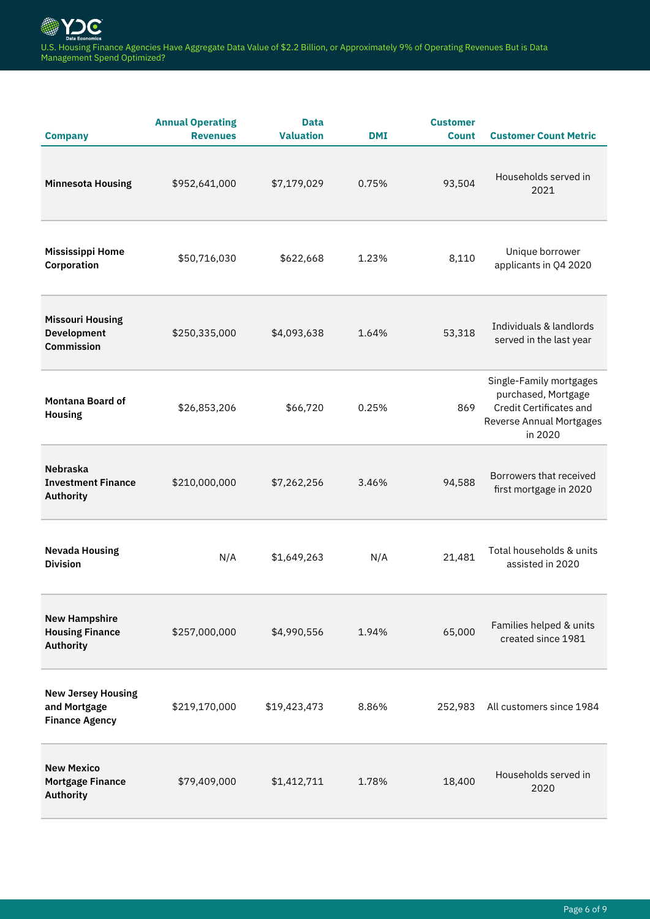| <b>Company</b>                                                     | <b>Annual Operating</b><br><b>Revenues</b> | <b>Data</b><br><b>Valuation</b> | <b>DMI</b> | <b>Customer</b><br><b>Count</b> | <b>Customer Count Metric</b>                                                                                     |
|--------------------------------------------------------------------|--------------------------------------------|---------------------------------|------------|---------------------------------|------------------------------------------------------------------------------------------------------------------|
| <b>Minnesota Housing</b>                                           | \$952,641,000                              | \$7,179,029                     | 0.75%      | 93,504                          | Households served in<br>2021                                                                                     |
| <b>Mississippi Home</b><br>Corporation                             | \$50,716,030                               | \$622,668                       | 1.23%      | 8,110                           | Unique borrower<br>applicants in Q4 2020                                                                         |
| <b>Missouri Housing</b><br><b>Development</b><br><b>Commission</b> | \$250,335,000                              | \$4,093,638                     | 1.64%      | 53,318                          | Individuals & landlords<br>served in the last year                                                               |
| <b>Montana Board of</b><br>Housing                                 | \$26,853,206                               | \$66,720                        | 0.25%      | 869                             | Single-Family mortgages<br>purchased, Mortgage<br>Credit Certificates and<br>Reverse Annual Mortgages<br>in 2020 |
| <b>Nebraska</b><br><b>Investment Finance</b><br>Authority          | \$210,000,000                              | \$7,262,256                     | 3.46%      | 94,588                          | Borrowers that received<br>first mortgage in 2020                                                                |
| <b>Nevada Housing</b><br><b>Division</b>                           | N/A                                        | \$1,649,263                     | N/A        | 21,481                          | Total households & units<br>assisted in 2020                                                                     |
| <b>New Hampshire</b><br><b>Housing Finance</b><br>Authority        | \$257,000,000                              | \$4,990,556                     | 1.94%      | 65,000                          | Families helped & units<br>created since 1981                                                                    |
| <b>New Jersey Housing</b><br>and Mortgage<br><b>Finance Agency</b> | \$219,170,000                              | \$19,423,473                    | 8.86%      | 252,983                         | All customers since 1984                                                                                         |
| <b>New Mexico</b><br><b>Mortgage Finance</b><br>Authority          | \$79,409,000                               | \$1,412,711                     | 1.78%      | 18,400                          | Households served in<br>2020                                                                                     |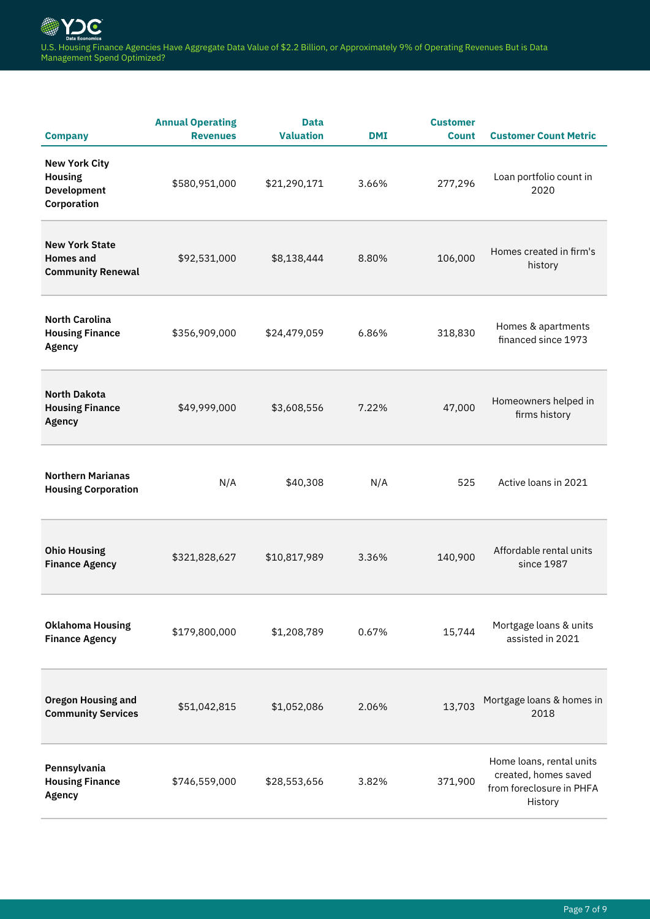| <b>Company</b>                                                        | <b>Annual Operating</b><br><b>Revenues</b> | <b>Data</b><br><b>Valuation</b> | <b>DMI</b> | <b>Customer</b><br><b>Count</b> | <b>Customer Count Metric</b>                                                            |
|-----------------------------------------------------------------------|--------------------------------------------|---------------------------------|------------|---------------------------------|-----------------------------------------------------------------------------------------|
| <b>New York City</b><br><b>Housing</b><br>Development<br>Corporation  | \$580,951,000                              | \$21,290,171                    | 3.66%      | 277,296                         | Loan portfolio count in<br>2020                                                         |
| <b>New York State</b><br><b>Homes and</b><br><b>Community Renewal</b> | \$92,531,000                               | \$8,138,444                     | 8.80%      | 106,000                         | Homes created in firm's<br>history                                                      |
| <b>North Carolina</b><br><b>Housing Finance</b><br>Agency             | \$356,909,000                              | \$24,479,059                    | 6.86%      | 318,830                         | Homes & apartments<br>financed since 1973                                               |
| <b>North Dakota</b><br><b>Housing Finance</b><br><b>Agency</b>        | \$49,999,000                               | \$3,608,556                     | 7.22%      | 47,000                          | Homeowners helped in<br>firms history                                                   |
| <b>Northern Marianas</b><br><b>Housing Corporation</b>                | N/A                                        | \$40,308                        | N/A        | 525                             | Active loans in 2021                                                                    |
| <b>Ohio Housing</b><br><b>Finance Agency</b>                          | \$321,828,627                              | \$10,817,989                    | 3.36%      | 140,900                         | Affordable rental units<br>since 1987                                                   |
| <b>Oklahoma Housing</b><br><b>Finance Agency</b>                      | \$179,800,000                              | \$1,208,789                     | 0.67%      | 15,744                          | Mortgage loans & units<br>assisted in 2021                                              |
| <b>Oregon Housing and</b><br><b>Community Services</b>                | \$51,042,815                               | \$1,052,086                     | 2.06%      | 13,703                          | Mortgage loans & homes in<br>2018                                                       |
| Pennsylvania<br><b>Housing Finance</b><br>Agency                      | \$746,559,000                              | \$28,553,656                    | 3.82%      | 371,900                         | Home loans, rental units<br>created, homes saved<br>from foreclosure in PHFA<br>History |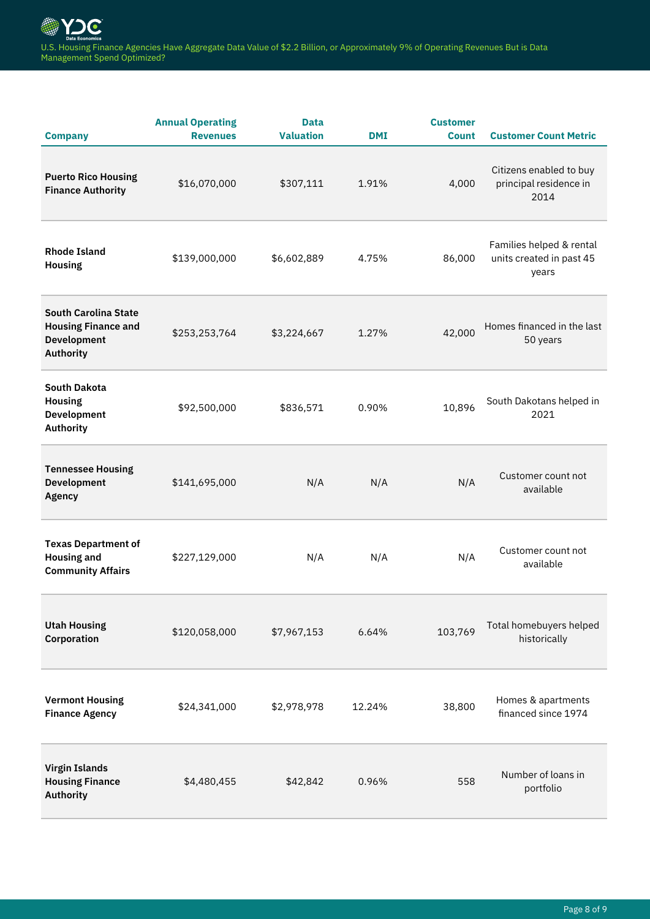| <b>Company</b>                                                                               | <b>Annual Operating</b><br><b>Revenues</b> | <b>Data</b><br><b>Valuation</b> | <b>DMI</b> | <b>Customer</b><br><b>Count</b> | <b>Customer Count Metric</b>                                  |
|----------------------------------------------------------------------------------------------|--------------------------------------------|---------------------------------|------------|---------------------------------|---------------------------------------------------------------|
| <b>Puerto Rico Housing</b><br><b>Finance Authority</b>                                       | \$16,070,000                               | \$307,111                       | 1.91%      | 4,000                           | Citizens enabled to buy<br>principal residence in<br>2014     |
| <b>Rhode Island</b><br><b>Housing</b>                                                        | \$139,000,000                              | \$6,602,889                     | 4.75%      | 86,000                          | Families helped & rental<br>units created in past 45<br>years |
| <b>South Carolina State</b><br><b>Housing Finance and</b><br><b>Development</b><br>Authority | \$253,253,764                              | \$3,224,667                     | 1.27%      | 42,000                          | Homes financed in the last<br>50 years                        |
| <b>South Dakota</b><br><b>Housing</b><br><b>Development</b><br>Authority                     | \$92,500,000                               | \$836,571                       | 0.90%      | 10,896                          | South Dakotans helped in<br>2021                              |
| <b>Tennessee Housing</b><br><b>Development</b><br>Agency                                     | \$141,695,000                              | N/A                             | N/A        | N/A                             | Customer count not<br>available                               |
| <b>Texas Department of</b><br><b>Housing and</b><br><b>Community Affairs</b>                 | \$227,129,000                              | N/A                             | N/A        | N/A                             | Customer count not<br>available                               |
| <b>Utah Housing</b><br>Corporation                                                           | \$120,058,000                              | \$7,967,153                     | 6.64%      | 103,769                         | Total homebuyers helped<br>historically                       |
| <b>Vermont Housing</b><br><b>Finance Agency</b>                                              | \$24,341,000                               | \$2,978,978                     | 12.24%     | 38,800                          | Homes & apartments<br>financed since 1974                     |
| <b>Virgin Islands</b><br><b>Housing Finance</b><br>Authority                                 | \$4,480,455                                | \$42,842                        | 0.96%      | 558                             | Number of loans in<br>portfolio                               |